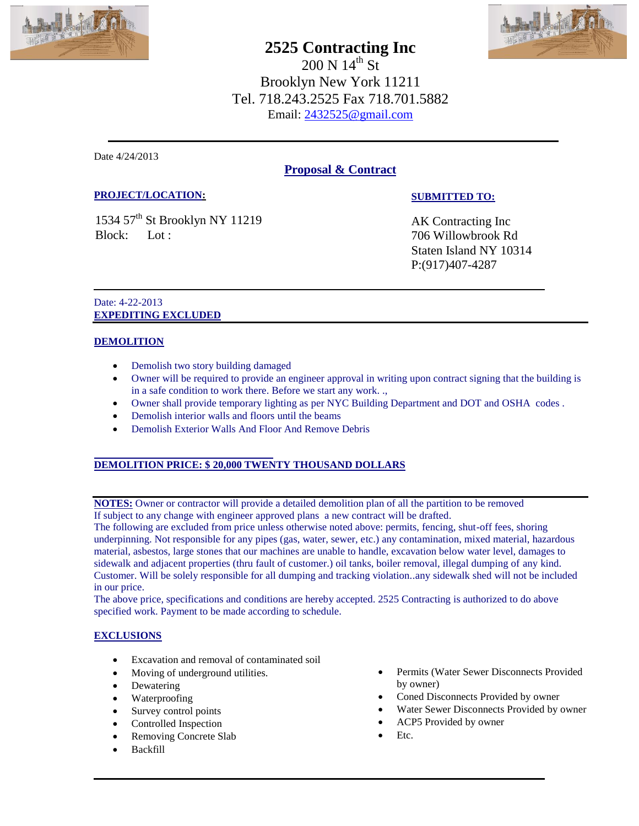

# **2525 Contracting Inc**

HATA

 $200 \text{ N} 14^{\text{th}} \text{ St}$ Brooklyn New York 11211 Tel. 718.243.2525 Fax 718.701.5882 Email: 2432525@gmail.com

Date 4/24/2013

# **Proposal & Contract**

## **PROJECT/LOCATION:**

1534 57<sup>th</sup> St Brooklyn NY 11219 Block: Lot :

**SUBMITTED TO:**

AK Contracting Inc 706 Willowbrook Rd Staten Island NY 10314 P:(917)407-4287

#### Date: 4-22-2013 **EXPEDITING EXCLUDED**

## **DEMOLITION**

- Demolish two story building damaged
- Owner will be required to provide an engineer approval in writing upon contract signing that the building is in a safe condition to work there. Before we start any work. .,
- Owner shall provide temporary lighting as per NYC Building Department and DOT and OSHA codes .
- Demolish interior walls and floors until the beams
- Demolish Exterior Walls And Floor And Remove Debris

# **DEMOLITION PRICE: \$ 20,000 TWENTY THOUSAND DOLLARS**

**NOTES:** Owner or contractor will provide a detailed demolition plan of all the partition to be removed If subject to any change with engineer approved plans a new contract will be drafted.

The following are excluded from price unless otherwise noted above: permits, fencing, shut-off fees, shoring underpinning. Not responsible for any pipes (gas, water, sewer, etc.) any contamination, mixed material, hazardous material, asbestos, large stones that our machines are unable to handle, excavation below water level, damages to sidewalk and adjacent properties (thru fault of customer.) oil tanks, boiler removal, illegal dumping of any kind. Customer. Will be solely responsible for all dumping and tracking violation..any sidewalk shed will not be included in our price.

The above price, specifications and conditions are hereby accepted. 2525 Contracting is authorized to do above specified work. Payment to be made according to schedule.

#### **EXCLUSIONS**

- Excavation and removal of contaminated soil
- Moving of underground utilities.
- Dewatering
- Waterproofing
- Survey control points
- Controlled Inspection
- Removing Concrete Slab
- Backfill
- Permits (Water Sewer Disconnects Provided by owner)
- Coned Disconnects Provided by owner
- Water Sewer Disconnects Provided by owner
- ACP5 Provided by owner
- Etc.